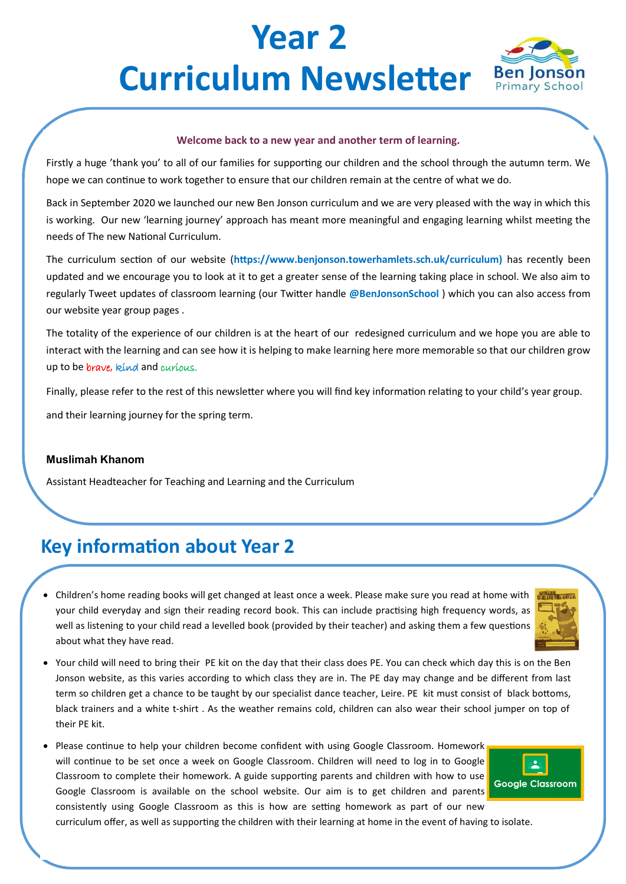# **Year 2 Curriculum Newsletter Ben Jonson**



#### **Welcome back to a new year and another term of learning.**

Firstly a huge 'thank you' to all of our families for supporting our children and the school through the autumn term. We hope we can continue to work together to ensure that our children remain at the centre of what we do.

Back in September 2020 we launched our new Ben Jonson curriculum and we are very pleased with the way in which this is working. Our new 'learning journey' approach has meant more meaningful and engaging learning whilst meeting the needs of The new National Curriculum.

The curriculum section of our website (**https://www.benjonson.towerhamlets.sch.uk/curriculum)** has recently been updated and we encourage you to look at it to get a greater sense of the learning taking place in school. We also aim to regularly Tweet updates of classroom learning (our Twitter handle **@BenJonsonSchool** ) which you can also access from our website year group pages .

The totality of the experience of our children is at the heart of our redesigned curriculum and we hope you are able to interact with the learning and can see how it is helping to make learning here more memorable so that our children grow up to be *brave*, kind and curious.

Finally, please refer to the rest of this newsletter where you will find key information relating to your child's year group.

and their learning journey for the spring term.

#### **Muslimah Khanom**

Assistant Headteacher for Teaching and Learning and the Curriculum

### **Key information about Year 2**

• Children's home reading books will get changed at least once a week. Please make sure you read at home with your child everyday and sign their reading record book. This can include practising high frequency words, as well as listening to your child read a levelled book (provided by their teacher) and asking them a few questions about what they have read.

| <b>BUTTER</b> |
|---------------|
|               |
|               |
|               |
|               |

- Your child will need to bring their PE kit on the day that their class does PE. You can check which day this is on the Ben Jonson website, as this varies according to which class they are in. The PE day may change and be different from last term so children get a chance to be taught by our specialist dance teacher, Leire. PE kit must consist of black bottoms, black trainers and a white t-shirt . As the weather remains cold, children can also wear their school jumper on top of their PE kit.
- Please continue to help your children become confident with using Google Classroom. Homework will continue to be set once a week on Google Classroom. Children will need to log in to Google Classroom to complete their homework. A guide supporting parents and children with how to use Google Classroom is available on the school website. Our aim is to get children and parents consistently using Google Classroom as this is how are setting homework as part of our new



curriculum offer, as well as supporting the children with their learning at home in the event of having to isolate.